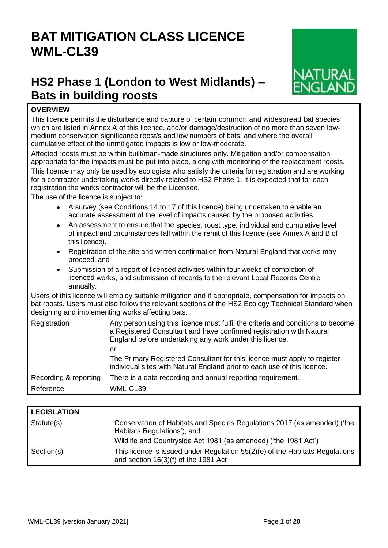# **BAT MITIGATION CLASS LICENCE WML-CL39**

# **HS2 Phase 1 (London to West Midlands) – Bats in building roosts**



# **OVERVIEW**

This licence permits the disturbance and capture of certain common and widespread bat species which are listed in Annex A of this licence, and/or damage/destruction of no more than seven lowmedium conservation significance roost/s and low numbers of bats, and where the overall cumulative effect of the unmitigated impacts is low or low-moderate.

Affected roosts must be within built/man-made structures only. Mitigation and/or compensation appropriate for the impacts must be put into place, along with monitoring of the replacement roosts. This licence may only be used by ecologists who satisfy the criteria for registration and are working for a contractor undertaking works directly related to HS2 Phase 1. It is expected that for each registration the works contractor will be the Licensee.

The use of the licence is subject to:

- A survey (see Conditions 14 to 17 of this licence) being undertaken to enable an accurate assessment of the level of impacts caused by the proposed activities.
- An assessment to ensure that the species, roost type, individual and cumulative level of impact and circumstances fall within the remit of this licence (see Annex A and B of this licence).
- Registration of the site and written confirmation from Natural England that works may proceed, and
- Submission of a report of licensed activities within four weeks of completion of licenced works, and submission of records to the relevant Local Records Centre annually.

Users of this licence will employ suitable mitigation and if appropriate, compensation for impacts on bat roosts. Users must also follow the relevant sections of the HS2 Ecology Technical Standard when designing and implementing works affecting bats.

| Registration          | Any person using this licence must fulfil the criteria and conditions to become<br>a Registered Consultant and have confirmed registration with Natural<br>England before undertaking any work under this licence. |
|-----------------------|--------------------------------------------------------------------------------------------------------------------------------------------------------------------------------------------------------------------|
|                       | or                                                                                                                                                                                                                 |
|                       | The Primary Registered Consultant for this licence must apply to register<br>individual sites with Natural England prior to each use of this licence.                                                              |
| Recording & reporting | There is a data recording and annual reporting requirement.                                                                                                                                                        |
| Reference             | WML-CL39                                                                                                                                                                                                           |

| <b>LEGISLATION</b> |                                                                                                                          |
|--------------------|--------------------------------------------------------------------------------------------------------------------------|
| Statute(s)         | Conservation of Habitats and Species Regulations 2017 (as amended) ('the<br>Habitats Regulations'), and                  |
|                    | Wildlife and Countryside Act 1981 (as amended) ('the 1981 Act')                                                          |
| Section(s)         | This licence is issued under Regulation $55(2)(e)$ of the Habitats Regulations<br>and section $16(3)(f)$ of the 1981 Act |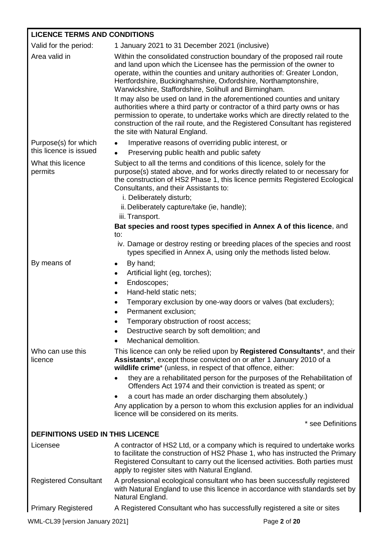# **LICENCE TERMS AND CONDITIONS**

| Valid for the period:                          | 1 January 2021 to 31 December 2021 (inclusive)                                                                                                                                                                                                                                                                                                         |  |
|------------------------------------------------|--------------------------------------------------------------------------------------------------------------------------------------------------------------------------------------------------------------------------------------------------------------------------------------------------------------------------------------------------------|--|
| Area valid in                                  | Within the consolidated construction boundary of the proposed rail route<br>and land upon which the Licensee has the permission of the owner to<br>operate, within the counties and unitary authorities of: Greater London,<br>Hertfordshire, Buckinghamshire, Oxfordshire, Northamptonshire,<br>Warwickshire, Staffordshire, Solihull and Birmingham. |  |
|                                                | It may also be used on land in the aforementioned counties and unitary<br>authorities where a third party or contractor of a third party owns or has<br>permission to operate, to undertake works which are directly related to the<br>construction of the rail route, and the Registered Consultant has registered<br>the site with Natural England.  |  |
| Purpose(s) for which<br>this licence is issued | Imperative reasons of overriding public interest, or<br>$\bullet$<br>Preserving public health and public safety                                                                                                                                                                                                                                        |  |
| What this licence<br>permits                   | Subject to all the terms and conditions of this licence, solely for the<br>purpose(s) stated above, and for works directly related to or necessary for<br>the construction of HS2 Phase 1, this licence permits Registered Ecological<br>Consultants, and their Assistants to:<br>i. Deliberately disturb;                                             |  |
|                                                | ii. Deliberately capture/take (ie, handle);                                                                                                                                                                                                                                                                                                            |  |
|                                                | iii. Transport.<br>Bat species and roost types specified in Annex A of this licence, and<br>to:                                                                                                                                                                                                                                                        |  |
|                                                | iv. Damage or destroy resting or breeding places of the species and roost<br>types specified in Annex A, using only the methods listed below.                                                                                                                                                                                                          |  |
| By means of                                    | By hand;<br>$\bullet$<br>Artificial light (eg, torches);<br>Endoscopes;<br>$\bullet$<br>Hand-held static nets;<br>Temporary exclusion by one-way doors or valves (bat excluders);<br>Permanent exclusion;<br>$\bullet$<br>Temporary obstruction of roost access;<br>Destructive search by soft demolition; and<br>Mechanical demolition.               |  |
| Who can use this<br>licence                    | This licence can only be relied upon by <b>Registered Consultants</b> <sup>*</sup> , and their<br>Assistants*, except those convicted on or after 1 January 2010 of a<br>wildlife crime* (unless, in respect of that offence, either:                                                                                                                  |  |
|                                                | they are a rehabilitated person for the purposes of the Rehabilitation of<br>Offenders Act 1974 and their conviction is treated as spent; or                                                                                                                                                                                                           |  |
|                                                | a court has made an order discharging them absolutely.)<br>$\bullet$                                                                                                                                                                                                                                                                                   |  |
|                                                | Any application by a person to whom this exclusion applies for an individual<br>licence will be considered on its merits.                                                                                                                                                                                                                              |  |
|                                                | * see Definitions                                                                                                                                                                                                                                                                                                                                      |  |
| <b>DEFINITIONS USED IN THIS LICENCE</b>        |                                                                                                                                                                                                                                                                                                                                                        |  |
| Licensee                                       | A contractor of HS2 Ltd, or a company which is required to undertake works<br>to facilitate the construction of HS2 Phase 1, who has instructed the Primary<br>Registered Consultant to carry out the licensed activities. Both parties must<br>apply to register sites with Natural England.                                                          |  |
| <b>Registered Consultant</b>                   | A professional ecological consultant who has been successfully registered<br>with Natural England to use this licence in accordance with standards set by<br>Natural England.                                                                                                                                                                          |  |
| <b>Primary Registered</b>                      | A Registered Consultant who has successfully registered a site or sites                                                                                                                                                                                                                                                                                |  |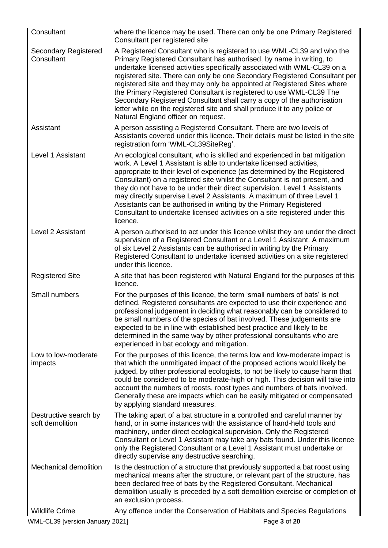| Consultant                                | where the licence may be used. There can only be one Primary Registered<br>Consultant per registered site                                                                                                                                                                                                                                                                                                                                                                                                                                                                                                                                                 |
|-------------------------------------------|-----------------------------------------------------------------------------------------------------------------------------------------------------------------------------------------------------------------------------------------------------------------------------------------------------------------------------------------------------------------------------------------------------------------------------------------------------------------------------------------------------------------------------------------------------------------------------------------------------------------------------------------------------------|
| <b>Secondary Registered</b><br>Consultant | A Registered Consultant who is registered to use WML-CL39 and who the<br>Primary Registered Consultant has authorised, by name in writing, to<br>undertake licensed activities specifically associated with WML-CL39 on a<br>registered site. There can only be one Secondary Registered Consultant per<br>registered site and they may only be appointed at Registered Sites where<br>the Primary Registered Consultant is registered to use WML-CL39 The<br>Secondary Registered Consultant shall carry a copy of the authorisation<br>letter while on the registered site and shall produce it to any police or<br>Natural England officer on request. |
| Assistant                                 | A person assisting a Registered Consultant. There are two levels of<br>Assistants covered under this licence. Their details must be listed in the site<br>registration form 'WML-CL39SiteReg'.                                                                                                                                                                                                                                                                                                                                                                                                                                                            |
| Level 1 Assistant                         | An ecological consultant, who is skilled and experienced in bat mitigation<br>work. A Level 1 Assistant is able to undertake licensed activities,<br>appropriate to their level of experience (as determined by the Registered<br>Consultant) on a registered site whilst the Consultant is not present, and<br>they do not have to be under their direct supervision. Level 1 Assistants<br>may directly supervise Level 2 Assistants. A maximum of three Level 1<br>Assistants can be authorised in writing by the Primary Registered<br>Consultant to undertake licensed activities on a site registered under this<br>licence.                        |
| Level 2 Assistant                         | A person authorised to act under this licence whilst they are under the direct<br>supervision of a Registered Consultant or a Level 1 Assistant. A maximum<br>of six Level 2 Assistants can be authorised in writing by the Primary<br>Registered Consultant to undertake licensed activities on a site registered<br>under this licence.                                                                                                                                                                                                                                                                                                                 |
| <b>Registered Site</b>                    | A site that has been registered with Natural England for the purposes of this<br>licence.                                                                                                                                                                                                                                                                                                                                                                                                                                                                                                                                                                 |
| Small numbers                             | For the purposes of this licence, the term 'small numbers of bats' is not<br>defined. Registered consultants are expected to use their experience and<br>professional judgement in deciding what reasonably can be considered to<br>be small numbers of the species of bat involved. These judgements are<br>expected to be in line with established best practice and likely to be<br>determined in the same way by other professional consultants who are<br>experienced in bat ecology and mitigation.                                                                                                                                                 |
| Low to low-moderate<br>impacts            | For the purposes of this licence, the terms low and low-moderate impact is<br>that which the unmitigated impact of the proposed actions would likely be<br>judged, by other professional ecologists, to not be likely to cause harm that<br>could be considered to be moderate-high or high. This decision will take into<br>account the numbers of roosts, roost types and numbers of bats involved.<br>Generally these are impacts which can be easily mitigated or compensated<br>by applying standard measures.                                                                                                                                       |
| Destructive search by<br>soft demolition  | The taking apart of a bat structure in a controlled and careful manner by<br>hand, or in some instances with the assistance of hand-held tools and<br>machinery, under direct ecological supervision. Only the Registered<br>Consultant or Level 1 Assistant may take any bats found. Under this licence<br>only the Registered Consultant or a Level 1 Assistant must undertake or<br>directly supervise any destructive searching.                                                                                                                                                                                                                      |
| <b>Mechanical demolition</b>              | Is the destruction of a structure that previously supported a bat roost using<br>mechanical means after the structure, or relevant part of the structure, has<br>been declared free of bats by the Registered Consultant. Mechanical<br>demolition usually is preceded by a soft demolition exercise or completion of<br>an exclusion process.                                                                                                                                                                                                                                                                                                            |
| <b>Wildlife Crime</b>                     | Any offence under the Conservation of Habitats and Species Regulations                                                                                                                                                                                                                                                                                                                                                                                                                                                                                                                                                                                    |
| WML-CL39 [version January 2021]           | Page 3 of 20                                                                                                                                                                                                                                                                                                                                                                                                                                                                                                                                                                                                                                              |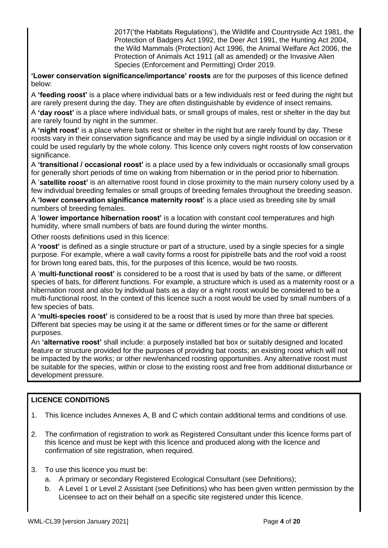2017('the Habitats Regulations'), the Wildlife and Countryside Act 1981, the Protection of Badgers Act 1992, the Deer Act 1991, the Hunting Act 2004, the Wild Mammals (Protection) Act 1996, the Animal Welfare Act 2006, the Protection of Animals Act 1911 (all as amended) or the Invasive Alien Species (Enforcement and Permitting) Order 2019.

**'Lower conservation significance/importance' roosts** are for the purposes of this licence defined below:

A **'feeding roost'** is a place where individual bats or a few individuals rest or feed during the night but are rarely present during the day. They are often distinguishable by evidence of insect remains.

A **'day roost'** is a place where individual bats, or small groups of males, rest or shelter in the day but are rarely found by night in the summer.

A **'night roost'** is a place where bats rest or shelter in the night but are rarely found by day. These roosts vary in their conservation significance and may be used by a single individual on occasion or it could be used regularly by the whole colony. This licence only covers night roosts of low conservation significance.

A **'transitional / occasional roost'** is a place used by a few individuals or occasionally small groups for generally short periods of time on waking from hibernation or in the period prior to hibernation.

A '**satellite roost'** is an alternative roost found in close proximity to the main nursery colony used by a few individual breeding females or small groups of breeding females throughout the breeding season.

A **'lower conservation significance maternity roost'** is a place used as breeding site by small numbers of breeding females.

A '**lower importance hibernation roost'** is a location with constant cool temperatures and high humidity, where small numbers of bats are found during the winter months.

Other roosts definitions used in this licence:

A **'roost'** is defined as a single structure or part of a structure, used by a single species for a single purpose. For example, where a wall cavity forms a roost for pipistrelle bats and the roof void a roost for brown long eared bats, this, for the purposes of this licence, would be two roosts.

A '**multi-functional roost'** is considered to be a roost that is used by bats of the same, or different species of bats, for different functions. For example, a structure which is used as a maternity roost or a hibernation roost and also by individual bats as a day or a night roost would be considered to be a multi-functional roost. In the context of this licence such a roost would be used by small numbers of a few species of bats.

A **'multi-species roost'** is considered to be a roost that is used by more than three bat species. Different bat species may be using it at the same or different times or for the same or different purposes.

An **'alternative roost'** shall include: a purposely installed bat box or suitably designed and located feature or structure provided for the purposes of providing bat roosts; an existing roost which will not be impacted by the works; or other new/enhanced roosting opportunities. Any alternative roost must be suitable for the species, within or close to the existing roost and free from additional disturbance or development pressure.

# **LICENCE CONDITIONS**

- 1. This licence includes Annexes A, B and C which contain additional terms and conditions of use.
- 2. The confirmation of registration to work as Registered Consultant under this licence forms part of this licence and must be kept with this licence and produced along with the licence and confirmation of site registration, when required.
- 3. To use this licence you must be:
	- a. A primary or secondary Registered Ecological Consultant (see Definitions);
	- b. A Level 1 or Level 2 Assistant (see Definitions) who has been given written permission by the Licensee to act on their behalf on a specific site registered under this licence.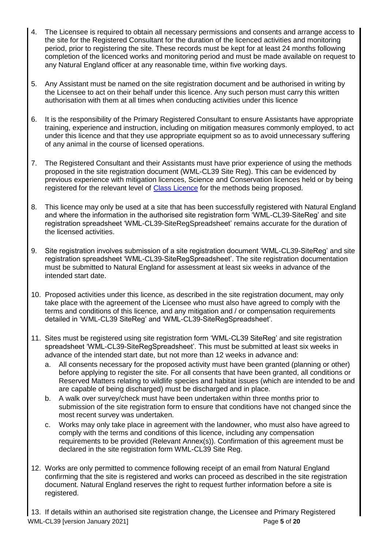- 4. The Licensee is required to obtain all necessary permissions and consents and arrange access to the site for the Registered Consultant for the duration of the licenced activities and monitoring period, prior to registering the site. These records must be kept for at least 24 months following completion of the licenced works and monitoring period and must be made available on request to any Natural England officer at any reasonable time, within five working days.
- 5. Any Assistant must be named on the site registration document and be authorised in writing by the Licensee to act on their behalf under this licence. Any such person must carry this written authorisation with them at all times when conducting activities under this licence
- 6. It is the responsibility of the Primary Registered Consultant to ensure Assistants have appropriate training, experience and instruction, including on mitigation measures commonly employed, to act under this licence and that they use appropriate equipment so as to avoid unnecessary suffering of any animal in the course of licensed operations.
- 7. The Registered Consultant and their Assistants must have prior experience of using the methods proposed in the site registration document (WML-CL39 Site Reg). This can be evidenced by previous experience with mitigation licences, Science and Conservation licences held or by being registered for the relevant level of [Class Licence](https://www.gov.uk/government/collections/class-licences-for-wildlife-management) for the methods being proposed.
- 8. This licence may only be used at a site that has been successfully registered with Natural England and where the information in the authorised site registration form 'WML-CL39-SiteReg' and site registration spreadsheet 'WML-CL39-SiteRegSpreadsheet' remains accurate for the duration of the licensed activities.
- 9. Site registration involves submission of a site registration document 'WML-CL39-SiteReg' and site registration spreadsheet 'WML-CL39-SiteRegSpreadsheet'. The site registration documentation must be submitted to Natural England for assessment at least six weeks in advance of the intended start date.
- 10. Proposed activities under this licence, as described in the site registration document, may only take place with the agreement of the Licensee who must also have agreed to comply with the terms and conditions of this licence, and any mitigation and / or compensation requirements detailed in 'WML-CL39 SiteReg' and 'WML-CL39-SiteRegSpreadsheet'.
- 11. Sites must be registered using site registration form 'WML-CL39 SiteReg' and site registration spreadsheet 'WML-CL39-SiteRegSpreadsheet'. This must be submitted at least six weeks in advance of the intended start date, but not more than 12 weeks in advance and:
	- a. All consents necessary for the proposed activity must have been granted (planning or other) before applying to register the site. For all consents that have been granted, all conditions or Reserved Matters relating to wildlife species and habitat issues (which are intended to be and are capable of being discharged) must be discharged and in place.
	- b. A walk over survey/check must have been undertaken within three months prior to submission of the site registration form to ensure that conditions have not changed since the most recent survey was undertaken.
	- c. Works may only take place in agreement with the landowner, who must also have agreed to comply with the terms and conditions of this licence, including any compensation requirements to be provided (Relevant Annex(s)). Confirmation of this agreement must be declared in the site registration form WML-CL39 Site Reg.
- 12. Works are only permitted to commence following receipt of an email from Natural England confirming that the site is registered and works can proceed as described in the site registration document. Natural England reserves the right to request further information before a site is registered.

WML-CL39 [version January 2021] Page **5** of **20** 13. If details within an authorised site registration change, the Licensee and Primary Registered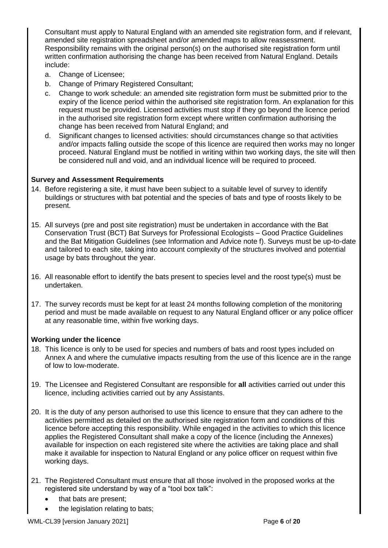Consultant must apply to Natural England with an amended site registration form, and if relevant, amended site registration spreadsheet and/or amended maps to allow reassessment. Responsibility remains with the original person(s) on the authorised site registration form until written confirmation authorising the change has been received from Natural England. Details include:

- a. Change of Licensee;
- b. Change of Primary Registered Consultant;
- c. Change to work schedule: an amended site registration form must be submitted prior to the expiry of the licence period within the authorised site registration form. An explanation for this request must be provided. Licensed activities must stop if they go beyond the licence period in the authorised site registration form except where written confirmation authorising the change has been received from Natural England; and
- d. Significant changes to licensed activities: should circumstances change so that activities and/or impacts falling outside the scope of this licence are required then works may no longer proceed. Natural England must be notified in writing within two working days, the site will then be considered null and void, and an individual licence will be required to proceed.

# **Survey and Assessment Requirements**

- 14. Before registering a site, it must have been subject to a suitable level of survey to identify buildings or structures with bat potential and the species of bats and type of roosts likely to be present.
- 15. All surveys (pre and post site registration) must be undertaken in accordance with the Bat Conservation Trust (BCT) Bat Surveys for Professional Ecologists – Good Practice Guidelines and the Bat Mitigation Guidelines (see Information and Advice note f). Surveys must be up-to-date and tailored to each site, taking into account complexity of the structures involved and potential usage by bats throughout the year.
- 16. All reasonable effort to identify the bats present to species level and the roost type(s) must be undertaken.
- 17. The survey records must be kept for at least 24 months following completion of the monitoring period and must be made available on request to any Natural England officer or any police officer at any reasonable time, within five working days.

# **Working under the licence**

- 18. This licence is only to be used for species and numbers of bats and roost types included on Annex A and where the cumulative impacts resulting from the use of this licence are in the range of low to low-moderate.
- 19. The Licensee and Registered Consultant are responsible for **all** activities carried out under this licence, including activities carried out by any Assistants.
- 20. It is the duty of any person authorised to use this licence to ensure that they can adhere to the activities permitted as detailed on the authorised site registration form and conditions of this licence before accepting this responsibility. While engaged in the activities to which this licence applies the Registered Consultant shall make a copy of the licence (including the Annexes) available for inspection on each registered site where the activities are taking place and shall make it available for inspection to Natural England or any police officer on request within five working days.
- 21. The Registered Consultant must ensure that all those involved in the proposed works at the registered site understand by way of a "tool box talk":
	- that bats are present;
	- the legislation relating to bats;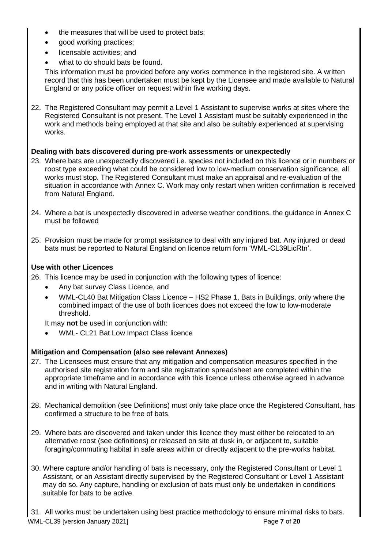- the measures that will be used to protect bats;
- good working practices;
- licensable activities; and
- what to do should bats be found.

This information must be provided before any works commence in the registered site. A written record that this has been undertaken must be kept by the Licensee and made available to Natural England or any police officer on request within five working days.

22. The Registered Consultant may permit a Level 1 Assistant to supervise works at sites where the Registered Consultant is not present. The Level 1 Assistant must be suitably experienced in the work and methods being employed at that site and also be suitably experienced at supervising works.

# **Dealing with bats discovered during pre-work assessments or unexpectedly**

- 23. Where bats are unexpectedly discovered i.e. species not included on this licence or in numbers or roost type exceeding what could be considered low to low-medium conservation significance, all works must stop. The Registered Consultant must make an appraisal and re-evaluation of the situation in accordance with Annex C. Work may only restart when written confirmation is received from Natural England.
- 24. Where a bat is unexpectedly discovered in adverse weather conditions, the guidance in Annex C must be followed
- 25. Provision must be made for prompt assistance to deal with any injured bat. Any injured or dead bats must be reported to Natural England on licence return form 'WML-CL39LicRtn'.

# **Use with other Licences**

- 26. This licence may be used in conjunction with the following types of licence:
	- Any bat survey Class Licence, and
	- WML-CL40 Bat Mitigation Class Licence HS2 Phase 1, Bats in Buildings, only where the combined impact of the use of both licences does not exceed the low to low-moderate threshold.

It may **not** be used in conjunction with:

• WML- CL21 Bat Low Impact Class licence

# **Mitigation and Compensation (also see relevant Annexes)**

- 27. The Licensees must ensure that any mitigation and compensation measures specified in the authorised site registration form and site registration spreadsheet are completed within the appropriate timeframe and in accordance with this licence unless otherwise agreed in advance and in writing with Natural England.
- 28. Mechanical demolition (see Definitions) must only take place once the Registered Consultant, has confirmed a structure to be free of bats.
- 29. Where bats are discovered and taken under this licence they must either be relocated to an alternative roost (see definitions) or released on site at dusk in, or adjacent to, suitable foraging/commuting habitat in safe areas within or directly adjacent to the pre-works habitat.
- 30. Where capture and/or handling of bats is necessary, only the Registered Consultant or Level 1 Assistant, or an Assistant directly supervised by the Registered Consultant or Level 1 Assistant may do so. Any capture, handling or exclusion of bats must only be undertaken in conditions suitable for bats to be active.

WML-CL39 [version January 2021] Page **7** of **20** 31. All works must be undertaken using best practice methodology to ensure minimal risks to bats.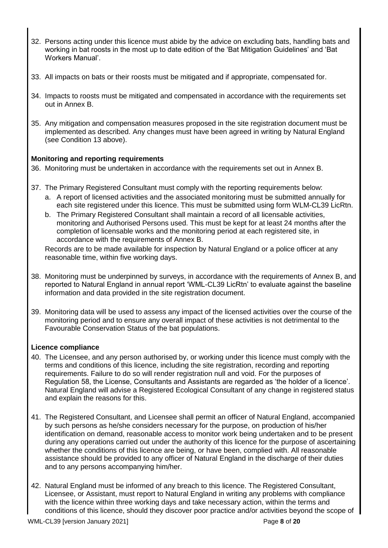- 32. Persons acting under this licence must abide by the advice on excluding bats, handling bats and working in bat roosts in the most up to date edition of the 'Bat Mitigation Guidelines' and 'Bat Workers Manual'.
- 33. All impacts on bats or their roosts must be mitigated and if appropriate, compensated for.
- 34. Impacts to roosts must be mitigated and compensated in accordance with the requirements set out in Annex B.
- 35. Any mitigation and compensation measures proposed in the site registration document must be implemented as described. Any changes must have been agreed in writing by Natural England (see Condition 13 above).

# **Monitoring and reporting requirements**

- 36. Monitoring must be undertaken in accordance with the requirements set out in Annex B.
- 37. The Primary Registered Consultant must comply with the reporting requirements below:
	- a. A report of licensed activities and the associated monitoring must be submitted annually for each site registered under this licence. This must be submitted using form WLM-CL39 LicRtn.
	- b. The Primary Registered Consultant shall maintain a record of all licensable activities, monitoring and Authorised Persons used. This must be kept for at least 24 months after the completion of licensable works and the monitoring period at each registered site, in accordance with the requirements of Annex B.

Records are to be made available for inspection by Natural England or a police officer at any reasonable time, within five working days.

- 38. Monitoring must be underpinned by surveys, in accordance with the requirements of Annex B, and reported to Natural England in annual report 'WML-CL39 LicRtn' to evaluate against the baseline information and data provided in the site registration document.
- 39. Monitoring data will be used to assess any impact of the licensed activities over the course of the monitoring period and to ensure any overall impact of these activities is not detrimental to the Favourable Conservation Status of the bat populations.

# **Licence compliance**

- 40. The Licensee, and any person authorised by, or working under this licence must comply with the terms and conditions of this licence, including the site registration, recording and reporting requirements. Failure to do so will render registration null and void. For the purposes of Regulation 58, the License, Consultants and Assistants are regarded as 'the holder of a licence'. Natural England will advise a Registered Ecological Consultant of any change in registered status and explain the reasons for this.
- 41. The Registered Consultant, and Licensee shall permit an officer of Natural England, accompanied by such persons as he/she considers necessary for the purpose, on production of his/her identification on demand, reasonable access to monitor work being undertaken and to be present during any operations carried out under the authority of this licence for the purpose of ascertaining whether the conditions of this licence are being, or have been, complied with. All reasonable assistance should be provided to any officer of Natural England in the discharge of their duties and to any persons accompanying him/her.
- 42. Natural England must be informed of any breach to this licence. The Registered Consultant, Licensee, or Assistant, must report to Natural England in writing any problems with compliance with the licence within three working days and take necessary action, within the terms and conditions of this licence, should they discover poor practice and/or activities beyond the scope of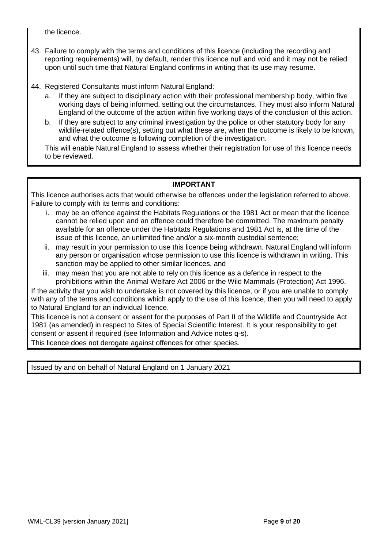the licence.

- 43. Failure to comply with the terms and conditions of this licence (including the recording and reporting requirements) will, by default, render this licence null and void and it may not be relied upon until such time that Natural England confirms in writing that its use may resume.
- 44. Registered Consultants must inform Natural England:
	- a. If they are subject to disciplinary action with their professional membership body, within five working days of being informed, setting out the circumstances. They must also inform Natural England of the outcome of the action within five working days of the conclusion of this action.
	- b. If they are subject to any criminal investigation by the police or other statutory body for any wildlife-related offence(s), setting out what these are, when the outcome is likely to be known, and what the outcome is following completion of the investigation.

This will enable Natural England to assess whether their registration for use of this licence needs to be reviewed.

# **IMPORTANT**

This licence authorises acts that would otherwise be offences under the legislation referred to above. Failure to comply with its terms and conditions:

- i. may be an offence against the Habitats Regulations or the 1981 Act or mean that the licence cannot be relied upon and an offence could therefore be committed. The maximum penalty available for an offence under the Habitats Regulations and 1981 Act is, at the time of the issue of this licence, an unlimited fine and/or a six-month custodial sentence;
- ii. may result in your permission to use this licence being withdrawn. Natural England will inform any person or organisation whose permission to use this licence is withdrawn in writing. This sanction may be applied to other similar licences, and
- iii. may mean that you are not able to rely on this licence as a defence in respect to the prohibitions within the Animal Welfare Act 2006 or the Wild Mammals (Protection) Act 1996.

If the activity that you wish to undertake is not covered by this licence, or if you are unable to comply with any of the terms and conditions which apply to the use of this licence, then you will need to apply to Natural England for an individual licence.

This licence is not a consent or assent for the purposes of Part II of the Wildlife and Countryside Act 1981 (as amended) in respect to Sites of Special Scientific Interest. It is your responsibility to get consent or assent if required (see Information and Advice notes q-s).

This licence does not derogate against offences for other species.

Issued by and on behalf of Natural England on 1 January 2021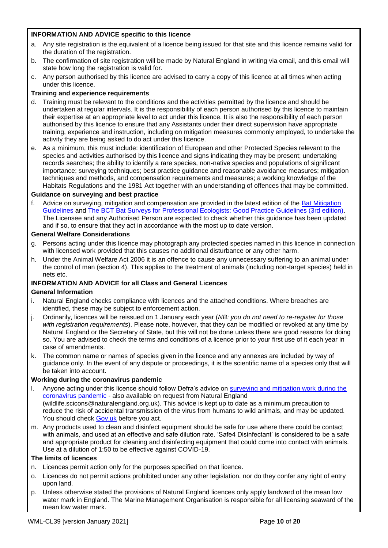# **INFORMATION AND ADVICE specific to this licence**

- a. Any site registration is the equivalent of a licence being issued for that site and this licence remains valid for the duration of the registration.
- b. The confirmation of site registration will be made by Natural England in writing via email, and this email will state how long the registration is valid for.
- c. Any person authorised by this licence are advised to carry a copy of this licence at all times when acting under this licence.

#### **Training and experience requirements**

- d. Training must be relevant to the conditions and the activities permitted by the licence and should be undertaken at regular intervals. It is the responsibility of each person authorised by this licence to maintain their expertise at an appropriate level to act under this licence. It is also the responsibility of each person authorised by this licence to ensure that any Assistants under their direct supervision have appropriate training, experience and instruction, including on mitigation measures commonly employed, to undertake the activity they are being asked to do act under this licence.
- e. As a minimum, this must include: identification of European and other Protected Species relevant to the species and activities authorised by this licence and signs indicating they may be present; undertaking records searches; the ability to identify a rare species, non-native species and populations of significant importance; surveying techniques; best practice guidance and reasonable avoidance measures; mitigation techniques and methods, and compensation requirements and measures; a working knowledge of the Habitats Regulations and the 1981 Act together with an understanding of offences that may be committed.

#### **Guidance on surveying and best practice**

f. Advice on surveying, mitigation and compensation are provided in the latest edition of the [Bat Mitigation](https://www.gov.uk/guidance/bats-surveys-and-mitigation-for-development-projects)  [Guidelines](https://www.gov.uk/guidance/bats-surveys-and-mitigation-for-development-projects) and [The BCT Bat Surveys for Professional Ecologists: Good Practice Guidelines \(3rd edition\).](http://www.bats.org.uk/pages/batsurveyguide.html) The Licensee and any Authorised Person are expected to check whether this guidance has been updated and if so, to ensure that they act in accordance with the most up to date version.

#### **General Welfare Considerations**

- g. Persons acting under this licence may photograph any protected species named in this licence in connection with licensed work provided that this causes no additional disturbance or any other harm.
- h. Under the Animal Welfare Act 2006 it is an offence to cause any unnecessary suffering to an animal under the control of man (section 4). This applies to the treatment of animals (including non-target species) held in nets etc.

# **INFORMATION AND ADVICE for all Class and General Licences**

#### **General Information**

- Natural England checks compliance with licences and the attached conditions. Where breaches are identified, these may be subject to enforcement action.
- j. Ordinarily, licences will be reissued on 1 January each year (*NB: you do not need to re-register for those with registration requirements*). Please note, however, that they can be modified or revoked at any time by Natural England or the Secretary of State, but this will not be done unless there are good reasons for doing so. You are advised to check the terms and conditions of a licence prior to your first use of it each year in case of amendments.
- k. The common name or names of species given in the licence and any annexes are included by way of guidance only. In the event of any dispute or proceedings, it is the scientific name of a species only that will be taken into account.

#### **Working during the coronavirus pandemic**

- l. Anyone acting under this licence should follow Defra's advice on [surveying and mitigation work during the](https://www.gov.uk/guidance/coronavirus-covid-19-surveying-and-mitigation-works-affecting-wildlife)  [coronavirus pandemic](https://www.gov.uk/guidance/coronavirus-covid-19-surveying-and-mitigation-works-affecting-wildlife) - also available on request from Natural England (wildlife.scicons@naturalengland.org.uk). This advice is kept up to date as a minimum precaution to reduce the risk of accidental transmission of the virus from humans to wild animals, and may be updated. You should check [Gov.uk](https://www.gov.uk/guidance/coronavirus-covid-19-surveying-and-mitigation-works-affecting-wildlife) before you act.
- m. Any products used to clean and disinfect equipment should be safe for use where there could be contact with animals, and used at an effective and safe dilution rate. 'Safe4 Disinfectant' is considered to be a safe and appropriate product for cleaning and disinfecting equipment that could come into contact with animals. Use at a dilution of 1:50 to be effective against COVID-19.

#### **The limits of licences**

- n. Licences permit action only for the purposes specified on that licence.
- o. Licences do not permit actions prohibited under any other legislation, nor do they confer any right of entry upon land.
- p. Unless otherwise stated the provisions of Natural England licences only apply landward of the mean low water mark in England. The Marine Management Organisation is responsible for all licensing seaward of the mean low water mark.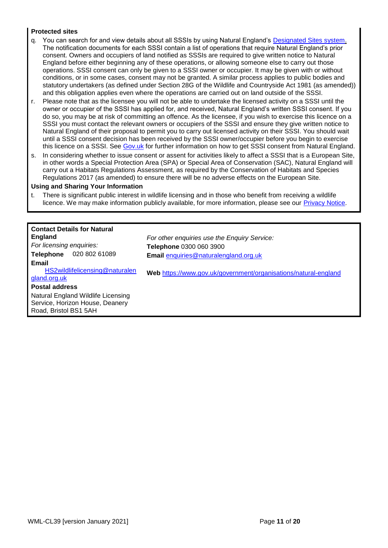#### **Protected sites**

- q. You can search for and view details about all SSSIs by using Natural England's [Designated Sites system.](https://designatedsites.naturalengland.org.uk/SiteSearch.aspx) The notification documents for each SSSI contain a list of operations that require Natural England's prior consent. Owners and occupiers of land notified as SSSIs are required to give written notice to Natural England before either beginning any of these operations, or allowing someone else to carry out those operations. SSSI consent can only be given to a SSSI owner or occupier. It may be given with or without conditions, or in some cases, consent may not be granted. A similar process applies to public bodies and statutory undertakers (as defined under Section 28G of the Wildlife and Countryside Act 1981 (as amended)) and this obligation applies even where the operations are carried out on land outside of the SSSI.
- Please note that as the licensee you will not be able to undertake the licensed activity on a SSSI until the owner or occupier of the SSSI has applied for, and received, Natural England's written SSSI consent. If you do so, you may be at risk of committing an offence. As the licensee, if you wish to exercise this licence on a SSSI you must contact the relevant owners or occupiers of the SSSI and ensure they give written notice to Natural England of their proposal to permit you to carry out licensed activity on their SSSI. You should wait until a SSSI consent decision has been received by the SSSI owner/occupier before you begin to exercise this licence on a SSSI. See [Gov.uk](https://www.gov.uk/guidance/protected-areas-sites-of-special-scientific-interest) for further information on how to get SSSI consent from Natural England.
- s. In considering whether to issue consent or assent for activities likely to affect a SSSI that is a European Site, in other words a Special Protection Area (SPA) or Special Area of Conservation (SAC), Natural England will carry out a Habitats Regulations Assessment, as required by the Conservation of Habitats and Species Regulations 2017 (as amended) to ensure there will be no adverse effects on the European Site.

#### **Using and Sharing Your Information**

t. There is significant public interest in wildlife licensing and in those who benefit from receiving a wildlife licence. We may make information publicly available, for more information, please see our [Privacy Notice.](https://www.gov.uk/government/publications/natural-england-privacy-notices/wildlife-licensing-privacy-notice)

| <b>Contact Details for Natural</b><br><b>England</b><br>For licensing enquiries:<br>020 802 61089<br><b>Telephone</b><br>Email | For other enquiries use the Enquiry Service:<br>Telephone 0300 060 3900<br>Email enquiries@naturalengland.org.uk |
|--------------------------------------------------------------------------------------------------------------------------------|------------------------------------------------------------------------------------------------------------------|
| HS2wildlifelicensing@naturalen<br>gland.org.uk<br><b>Postal address</b>                                                        | Web https://www.gov.uk/government/organisations/natural-england                                                  |
| Natural England Wildlife Licensing<br>Service, Horizon House, Deanery<br>Road, Bristol BS1 5AH                                 |                                                                                                                  |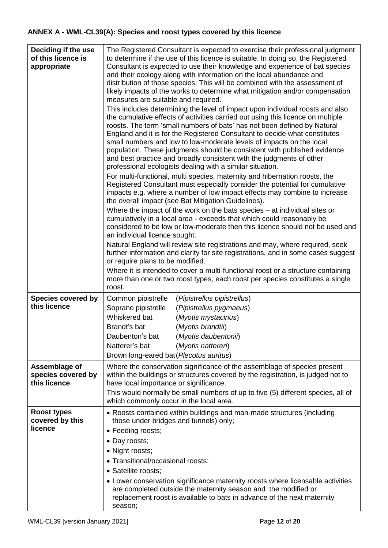# **ANNEX A - WML-CL39(A): Species and roost types covered by this licence**

| Deciding if the use<br>of this licence is<br>appropriate | The Registered Consultant is expected to exercise their professional judgment<br>to determine if the use of this licence is suitable. In doing so, the Registered<br>Consultant is expected to use their knowledge and experience of bat species<br>and their ecology along with information on the local abundance and<br>distribution of those species. This will be combined with the assessment of<br>likely impacts of the works to determine what mitigation and/or compensation<br>measures are suitable and required.<br>This includes determining the level of impact upon individual roosts and also<br>the cumulative effects of activities carried out using this licence on multiple<br>roosts. The term 'small numbers of bats' has not been defined by Natural<br>England and it is for the Registered Consultant to decide what constitutes<br>small numbers and low to low-moderate levels of impacts on the local<br>population. These judgments should be consistent with published evidence<br>and best practice and broadly consistent with the judgments of other<br>professional ecologists dealing with a similar situation.<br>For multi-functional, multi species, maternity and hibernation roosts, the<br>Registered Consultant must especially consider the potential for cumulative<br>impacts e.g. where a number of low impact effects may combine to increase<br>the overall impact (see Bat Mitigation Guidelines).<br>Where the impact of the work on the bats species - at individual sites or<br>cumulatively in a local area - exceeds that which could reasonably be<br>considered to be low or low-moderate then this licence should not be used and<br>an individual licence sought.<br>Natural England will review site registrations and may, where required, seek<br>further information and clarity for site registrations, and in some cases suggest<br>or require plans to be modified.<br>Where it is intended to cover a multi-functional roost or a structure containing<br>more than one or two roost types, each roost per species constitutes a single<br>roost. |
|----------------------------------------------------------|-----------------------------------------------------------------------------------------------------------------------------------------------------------------------------------------------------------------------------------------------------------------------------------------------------------------------------------------------------------------------------------------------------------------------------------------------------------------------------------------------------------------------------------------------------------------------------------------------------------------------------------------------------------------------------------------------------------------------------------------------------------------------------------------------------------------------------------------------------------------------------------------------------------------------------------------------------------------------------------------------------------------------------------------------------------------------------------------------------------------------------------------------------------------------------------------------------------------------------------------------------------------------------------------------------------------------------------------------------------------------------------------------------------------------------------------------------------------------------------------------------------------------------------------------------------------------------------------------------------------------------------------------------------------------------------------------------------------------------------------------------------------------------------------------------------------------------------------------------------------------------------------------------------------------------------------------------------------------------------------------------------------------------------------------------------------------------------------------------------------------|
| <b>Species covered by</b><br>this licence                | Common pipistrelle<br>(Pipistrellus pipistrellus)<br>Soprano pipistrelle<br>(Pipistrellus pygmaeus)<br>Whiskered bat<br>(Myotis mystacinus)<br>Brandt's bat<br>(Myotis brandtii)<br>(Myotis daubentonii)<br>Daubenton's bat                                                                                                                                                                                                                                                                                                                                                                                                                                                                                                                                                                                                                                                                                                                                                                                                                                                                                                                                                                                                                                                                                                                                                                                                                                                                                                                                                                                                                                                                                                                                                                                                                                                                                                                                                                                                                                                                                           |
|                                                          | Natterer's bat<br>(Myotis nattereri)<br>Brown long-eared bat (Plecotus auritus)                                                                                                                                                                                                                                                                                                                                                                                                                                                                                                                                                                                                                                                                                                                                                                                                                                                                                                                                                                                                                                                                                                                                                                                                                                                                                                                                                                                                                                                                                                                                                                                                                                                                                                                                                                                                                                                                                                                                                                                                                                       |
| Assemblage of<br>species covered by<br>this licence      | Where the conservation significance of the assemblage of species present<br>within the buildings or structures covered by the registration, is judged not to<br>have local importance or significance.<br>This would normally be small numbers of up to five (5) different species, all of<br>which commonly occur in the local area.                                                                                                                                                                                                                                                                                                                                                                                                                                                                                                                                                                                                                                                                                                                                                                                                                                                                                                                                                                                                                                                                                                                                                                                                                                                                                                                                                                                                                                                                                                                                                                                                                                                                                                                                                                                 |
| <b>Roost types</b><br>covered by this<br>licence         | • Roosts contained within buildings and man-made structures (including<br>those under bridges and tunnels) only;<br>• Feeding roosts;<br>• Day roosts;<br>• Night roosts;<br>• Transitional/occasional roosts;<br>• Satellite roosts;<br>• Lower conservation significance maternity roosts where licensable activities<br>are completed outside the maternity season and the modified or<br>replacement roost is available to bats in advance of the next maternity<br>season;                                                                                                                                                                                                                                                                                                                                                                                                                                                                                                                                                                                                                                                                                                                                                                                                                                                                                                                                                                                                                                                                                                                                                                                                                                                                                                                                                                                                                                                                                                                                                                                                                                       |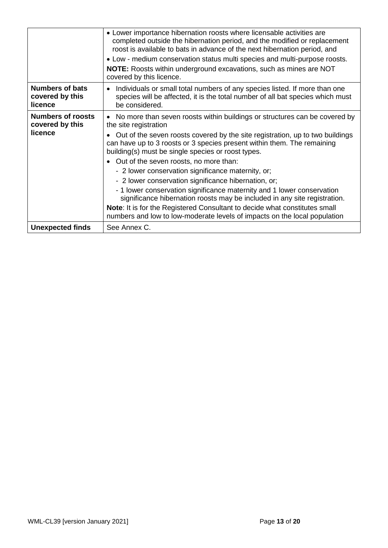|                                                      | • Lower importance hibernation roosts where licensable activities are<br>completed outside the hibernation period, and the modified or replacement<br>roost is available to bats in advance of the next hibernation period, and |
|------------------------------------------------------|---------------------------------------------------------------------------------------------------------------------------------------------------------------------------------------------------------------------------------|
|                                                      | • Low - medium conservation status multi species and multi-purpose roosts.<br><b>NOTE:</b> Roosts within underground excavations, such as mines are NOT<br>covered by this licence.                                             |
| <b>Numbers of bats</b><br>covered by this<br>licence | Individuals or small total numbers of any species listed. If more than one<br>species will be affected, it is the total number of all bat species which must<br>be considered.                                                  |
| <b>Numbers of roosts</b><br>covered by this          | • No more than seven roosts within buildings or structures can be covered by<br>the site registration                                                                                                                           |
| licence                                              | Out of the seven roosts covered by the site registration, up to two buildings<br>can have up to 3 roosts or 3 species present within them. The remaining<br>building(s) must be single species or roost types.                  |
|                                                      | • Out of the seven roosts, no more than:                                                                                                                                                                                        |
|                                                      | - 2 lower conservation significance maternity, or;                                                                                                                                                                              |
|                                                      | - 2 lower conservation significance hibernation, or;                                                                                                                                                                            |
|                                                      | - 1 lower conservation significance maternity and 1 lower conservation<br>significance hibernation roosts may be included in any site registration.                                                                             |
|                                                      | Note: It is for the Registered Consultant to decide what constitutes small<br>numbers and low to low-moderate levels of impacts on the local population                                                                         |
| <b>Unexpected finds</b>                              | See Annex C.                                                                                                                                                                                                                    |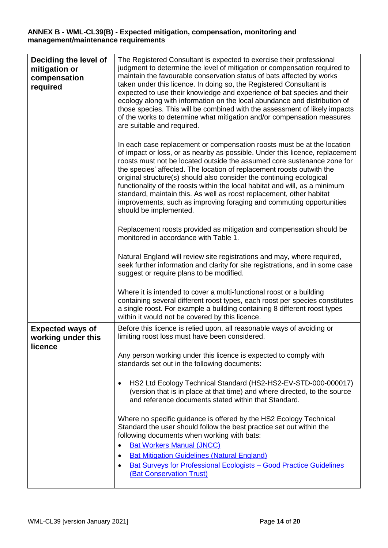### **ANNEX B - WML-CL39(B) - Expected mitigation, compensation, monitoring and management/maintenance requirements**

| Deciding the level of<br>mitigation or<br>compensation<br>required | The Registered Consultant is expected to exercise their professional<br>judgment to determine the level of mitigation or compensation required to<br>maintain the favourable conservation status of bats affected by works<br>taken under this licence. In doing so, the Registered Consultant is<br>expected to use their knowledge and experience of bat species and their<br>ecology along with information on the local abundance and distribution of<br>those species. This will be combined with the assessment of likely impacts<br>of the works to determine what mitigation and/or compensation measures<br>are suitable and required. |  |  |  |
|--------------------------------------------------------------------|-------------------------------------------------------------------------------------------------------------------------------------------------------------------------------------------------------------------------------------------------------------------------------------------------------------------------------------------------------------------------------------------------------------------------------------------------------------------------------------------------------------------------------------------------------------------------------------------------------------------------------------------------|--|--|--|
|                                                                    | In each case replacement or compensation roosts must be at the location<br>of impact or loss, or as nearby as possible. Under this licence, replacement<br>roosts must not be located outside the assumed core sustenance zone for<br>the species' affected. The location of replacement roosts outwith the<br>original structure(s) should also consider the continuing ecological<br>functionality of the roosts within the local habitat and will, as a minimum<br>standard, maintain this. As well as roost replacement, other habitat<br>improvements, such as improving foraging and commuting opportunities<br>should be implemented.    |  |  |  |
|                                                                    | Replacement roosts provided as mitigation and compensation should be<br>monitored in accordance with Table 1.                                                                                                                                                                                                                                                                                                                                                                                                                                                                                                                                   |  |  |  |
|                                                                    | Natural England will review site registrations and may, where required,<br>seek further information and clarity for site registrations, and in some case<br>suggest or require plans to be modified.                                                                                                                                                                                                                                                                                                                                                                                                                                            |  |  |  |
|                                                                    | Where it is intended to cover a multi-functional roost or a building<br>containing several different roost types, each roost per species constitutes<br>a single roost. For example a building containing 8 different roost types<br>within it would not be covered by this licence.                                                                                                                                                                                                                                                                                                                                                            |  |  |  |
| <b>Expected ways of</b><br>working under this<br>licence           | Before this licence is relied upon, all reasonable ways of avoiding or<br>limiting roost loss must have been considered.                                                                                                                                                                                                                                                                                                                                                                                                                                                                                                                        |  |  |  |
|                                                                    | Any person working under this licence is expected to comply with<br>standards set out in the following documents:                                                                                                                                                                                                                                                                                                                                                                                                                                                                                                                               |  |  |  |
|                                                                    | HS2 Ltd Ecology Technical Standard (HS2-HS2-EV-STD-000-000017)<br>(version that is in place at that time) and where directed, to the source<br>and reference documents stated within that Standard.                                                                                                                                                                                                                                                                                                                                                                                                                                             |  |  |  |
|                                                                    | Where no specific guidance is offered by the HS2 Ecology Technical<br>Standard the user should follow the best practice set out within the<br>following documents when working with bats:<br><b>Bat Workers Manual (JNCC)</b>                                                                                                                                                                                                                                                                                                                                                                                                                   |  |  |  |
|                                                                    | <b>Bat Mitigation Guidelines (Natural England)</b><br><b>Bat Surveys for Professional Ecologists - Good Practice Guidelines</b><br>$\bullet$<br>(Bat Conservation Trust)                                                                                                                                                                                                                                                                                                                                                                                                                                                                        |  |  |  |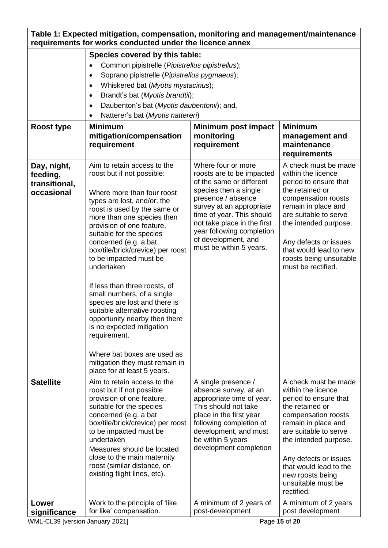| Table 1: Expected mitigation, compensation, monitoring and management/maintenance<br>requirements for works conducted under the licence annex |                                                                                                                                                                                                                                                                                                                                                                                                                                                                                                                                                                                                                                                                    |                                                                                                                                                                                                                                                                                                   |                                                                                                                                                                                                                                                                                                   |  |
|-----------------------------------------------------------------------------------------------------------------------------------------------|--------------------------------------------------------------------------------------------------------------------------------------------------------------------------------------------------------------------------------------------------------------------------------------------------------------------------------------------------------------------------------------------------------------------------------------------------------------------------------------------------------------------------------------------------------------------------------------------------------------------------------------------------------------------|---------------------------------------------------------------------------------------------------------------------------------------------------------------------------------------------------------------------------------------------------------------------------------------------------|---------------------------------------------------------------------------------------------------------------------------------------------------------------------------------------------------------------------------------------------------------------------------------------------------|--|
|                                                                                                                                               | Species covered by this table:<br>Common pipistrelle (Pipistrellus pipistrellus);<br>$\bullet$<br>Soprano pipistrelle (Pipistrellus pygmaeus);<br>٠<br>Whiskered bat (Myotis mystacinus);<br>$\bullet$<br>Brandt's bat (Myotis brandtii);<br>٠<br>Daubenton's bat (Myotis daubentonii); and,<br>$\bullet$<br>Natterer's bat (Myotis nattereri)<br>٠                                                                                                                                                                                                                                                                                                                |                                                                                                                                                                                                                                                                                                   |                                                                                                                                                                                                                                                                                                   |  |
| <b>Roost type</b>                                                                                                                             | <b>Minimum</b><br>mitigation/compensation<br>requirement                                                                                                                                                                                                                                                                                                                                                                                                                                                                                                                                                                                                           | Minimum post impact<br>monitoring<br>requirement                                                                                                                                                                                                                                                  | <b>Minimum</b><br>management and<br>maintenance<br>requirements                                                                                                                                                                                                                                   |  |
| Day, night,<br>feeding,<br>transitional,<br>occasional                                                                                        | Aim to retain access to the<br>roost but if not possible:<br>Where more than four roost<br>types are lost, and/or; the<br>roost is used by the same or<br>more than one species then<br>provision of one feature,<br>suitable for the species<br>concerned (e.g. a bat<br>box/tile/brick/crevice) per roost<br>to be impacted must be<br>undertaken<br>If less than three roosts, of<br>small numbers, of a single<br>species are lost and there is<br>suitable alternative roosting<br>opportunity nearby then there<br>is no expected mitigation<br>requirement.<br>Where bat boxes are used as<br>mitigation they must remain in<br>place for at least 5 years. | Where four or more<br>roosts are to be impacted<br>of the same or different<br>species then a single<br>presence / absence<br>survey at an appropriate<br>time of year. This should<br>not take place in the first<br>year following completion<br>of development, and<br>must be within 5 years. | A check must be made<br>within the licence<br>period to ensure that<br>the retained or<br>compensation roosts<br>remain in place and<br>are suitable to serve<br>the intended purpose.<br>Any defects or issues<br>that would lead to new<br>roosts being unsuitable<br>must be rectified.        |  |
| <b>Satellite</b>                                                                                                                              | Aim to retain access to the<br>roost but if not possible<br>provision of one feature,<br>suitable for the species<br>concerned (e.g. a bat<br>box/tile/brick/crevice) per roost<br>to be impacted must be<br>undertaken<br>Measures should be located<br>close to the main maternity<br>roost (similar distance, on<br>existing flight lines, etc).                                                                                                                                                                                                                                                                                                                | A single presence /<br>absence survey, at an<br>appropriate time of year.<br>This should not take<br>place in the first year<br>following completion of<br>development, and must<br>be within 5 years<br>development completion                                                                   | A check must be made<br>within the licence<br>period to ensure that<br>the retained or<br>compensation roosts<br>remain in place and<br>are suitable to serve<br>the intended purpose.<br>Any defects or issues<br>that would lead to the<br>new roosts being<br>unsuitable must be<br>rectified. |  |
| Lower<br>significance                                                                                                                         | Work to the principle of 'like<br>for like' compensation.                                                                                                                                                                                                                                                                                                                                                                                                                                                                                                                                                                                                          | A minimum of 2 years of<br>post-development                                                                                                                                                                                                                                                       | A minimum of 2 years<br>post development                                                                                                                                                                                                                                                          |  |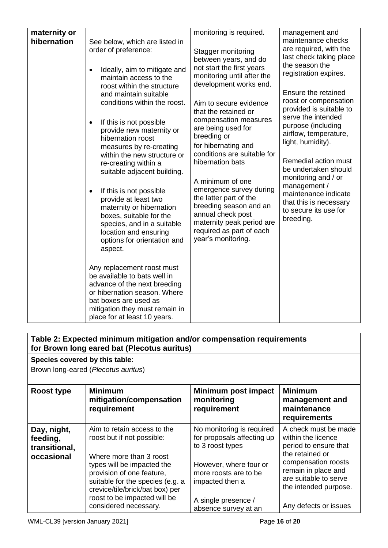| maternity or<br>hibernation | See below, which are listed in<br>order of preference:<br>Ideally, aim to mitigate and<br>maintain access to the<br>roost within the structure<br>and maintain suitable<br>conditions within the roost.<br>If this is not possible<br>provide new maternity or<br>hibernation roost<br>measures by re-creating<br>within the new structure or<br>re-creating within a<br>suitable adjacent building.<br>If this is not possible<br>provide at least two<br>maternity or hibernation<br>boxes, suitable for the<br>species, and in a suitable<br>location and ensuring | monitoring is required.<br>Stagger monitoring<br>between years, and do<br>not start the first years<br>monitoring until after the<br>development works end.<br>Aim to secure evidence<br>that the retained or<br>compensation measures<br>are being used for<br>breeding or<br>for hibernating and<br>conditions are suitable for<br>hibernation bats<br>A minimum of one<br>emergence survey during<br>the latter part of the<br>breeding season and an<br>annual check post<br>maternity peak period are<br>required as part of each<br>year's monitoring. | management and<br>maintenance checks<br>are required, with the<br>last check taking place<br>the season the<br>registration expires.<br>Ensure the retained<br>roost or compensation<br>provided is suitable to<br>serve the intended<br>purpose (including<br>airflow, temperature,<br>light, humidity).<br>Remedial action must<br>be undertaken should<br>monitoring and / or<br>management /<br>maintenance indicate<br>that this is necessary<br>to secure its use for<br>breeding. |
|-----------------------------|-----------------------------------------------------------------------------------------------------------------------------------------------------------------------------------------------------------------------------------------------------------------------------------------------------------------------------------------------------------------------------------------------------------------------------------------------------------------------------------------------------------------------------------------------------------------------|--------------------------------------------------------------------------------------------------------------------------------------------------------------------------------------------------------------------------------------------------------------------------------------------------------------------------------------------------------------------------------------------------------------------------------------------------------------------------------------------------------------------------------------------------------------|------------------------------------------------------------------------------------------------------------------------------------------------------------------------------------------------------------------------------------------------------------------------------------------------------------------------------------------------------------------------------------------------------------------------------------------------------------------------------------------|
|                             | options for orientation and<br>aspect.<br>Any replacement roost must<br>be available to bats well in<br>advance of the next breeding<br>or hibernation season. Where<br>bat boxes are used as<br>mitigation they must remain in<br>place for at least 10 years.                                                                                                                                                                                                                                                                                                       |                                                                                                                                                                                                                                                                                                                                                                                                                                                                                                                                                              |                                                                                                                                                                                                                                                                                                                                                                                                                                                                                          |

# **Table 2: Expected minimum mitigation and/or compensation requirements for Brown long eared bat (Plecotus auritus)**

**Species covered by this table**:

• Brown long-eared (*Plecotus auritus*)

| Roost type                                             | <b>Minimum</b><br>mitigation/compensation<br>requirement                                                                                                                                                                                                                        | Minimum post impact<br>monitoring<br>requirement                                                                                                                                                 | <b>Minimum</b><br>management and<br>maintenance<br>requirements                                                                                                                                                 |
|--------------------------------------------------------|---------------------------------------------------------------------------------------------------------------------------------------------------------------------------------------------------------------------------------------------------------------------------------|--------------------------------------------------------------------------------------------------------------------------------------------------------------------------------------------------|-----------------------------------------------------------------------------------------------------------------------------------------------------------------------------------------------------------------|
| Day, night,<br>feeding,<br>transitional,<br>occasional | Aim to retain access to the<br>roost but if not possible:<br>Where more than 3 roost<br>types will be impacted the<br>provision of one feature,<br>suitable for the species (e.g. a<br>crevice/tile/brick/bat box) per<br>roost to be impacted will be<br>considered necessary. | No monitoring is required<br>for proposals affecting up<br>to 3 roost types<br>However, where four or<br>more roosts are to be<br>impacted then a<br>A single presence /<br>absence survey at an | A check must be made<br>within the licence<br>period to ensure that<br>the retained or<br>compensation roosts<br>remain in place and<br>are suitable to serve<br>the intended purpose.<br>Any defects or issues |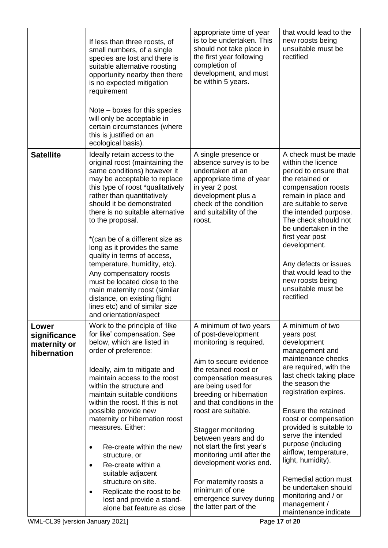|                                                      | If less than three roosts, of<br>small numbers, of a single<br>species are lost and there is<br>suitable alternative roosting<br>opportunity nearby then there<br>is no expected mitigation<br>requirement<br>Note – boxes for this species<br>will only be acceptable in<br>certain circumstances (where<br>this is justified on an<br>ecological basis).                                                                                                                                                                                                                                                       | appropriate time of year<br>is to be undertaken. This<br>should not take place in<br>the first year following<br>completion of<br>development, and must<br>be within 5 years.                                                                                                                                                                                                                                                                                                                   | that would lead to the<br>new roosts being<br>unsuitable must be<br>rectified                                                                                                                                                                                                                                                                                                                                                                                             |
|------------------------------------------------------|------------------------------------------------------------------------------------------------------------------------------------------------------------------------------------------------------------------------------------------------------------------------------------------------------------------------------------------------------------------------------------------------------------------------------------------------------------------------------------------------------------------------------------------------------------------------------------------------------------------|-------------------------------------------------------------------------------------------------------------------------------------------------------------------------------------------------------------------------------------------------------------------------------------------------------------------------------------------------------------------------------------------------------------------------------------------------------------------------------------------------|---------------------------------------------------------------------------------------------------------------------------------------------------------------------------------------------------------------------------------------------------------------------------------------------------------------------------------------------------------------------------------------------------------------------------------------------------------------------------|
| <b>Satellite</b>                                     | Ideally retain access to the<br>original roost (maintaining the<br>same conditions) however it<br>may be acceptable to replace<br>this type of roost *qualitatively<br>rather than quantitatively<br>should it be demonstrated<br>there is no suitable alternative<br>to the proposal.<br>*(can be of a different size as<br>long as it provides the same<br>quality in terms of access,<br>temperature, humidity, etc).<br>Any compensatory roosts<br>must be located close to the<br>main maternity roost (similar<br>distance, on existing flight<br>lines etc) and of similar size<br>and orientation/aspect | A single presence or<br>absence survey is to be<br>undertaken at an<br>appropriate time of year<br>in year 2 post<br>development plus a<br>check of the condition<br>and suitability of the<br>roost.                                                                                                                                                                                                                                                                                           | A check must be made<br>within the licence<br>period to ensure that<br>the retained or<br>compensation roosts<br>remain in place and<br>are suitable to serve<br>the intended purpose.<br>The check should not<br>be undertaken in the<br>first year post<br>development.<br>Any defects or issues<br>that would lead to the<br>new roosts being<br>unsuitable must be<br>rectified                                                                                       |
| Lower<br>significance<br>maternity or<br>hibernation | Work to the principle of 'like<br>for like' compensation. See<br>below, which are listed in<br>order of preference:<br>Ideally, aim to mitigate and<br>maintain access to the roost<br>within the structure and<br>maintain suitable conditions<br>within the roost. If this is not<br>possible provide new<br>maternity or hibernation roost<br>measures. Either:<br>Re-create within the new<br>$\bullet$<br>structure, or<br>Re-create within a<br>suitable adjacent<br>structure on site.<br>Replicate the roost to be<br>lost and provide a stand-<br>alone bat feature as close                            | A minimum of two years<br>of post-development<br>monitoring is required.<br>Aim to secure evidence<br>the retained roost or<br>compensation measures<br>are being used for<br>breeding or hibernation<br>and that conditions in the<br>roost are suitable.<br>Stagger monitoring<br>between years and do<br>not start the first year's<br>monitoring until after the<br>development works end.<br>For maternity roosts a<br>minimum of one<br>emergence survey during<br>the latter part of the | A minimum of two<br>years post<br>development<br>management and<br>maintenance checks<br>are required, with the<br>last check taking place<br>the season the<br>registration expires.<br>Ensure the retained<br>roost or compensation<br>provided is suitable to<br>serve the intended<br>purpose (including<br>airflow, temperature,<br>light, humidity).<br>Remedial action must<br>be undertaken should<br>monitoring and / or<br>management /<br>maintenance indicate |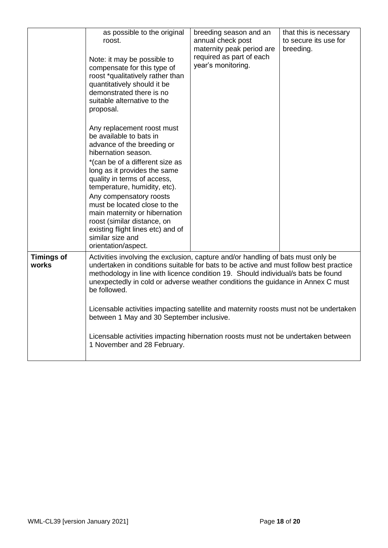|                            | as possible to the original<br>roost.<br>Note: it may be possible to<br>compensate for this type of<br>roost *qualitatively rather than<br>quantitatively should it be<br>demonstrated there is no<br>suitable alternative to the<br>proposal.<br>Any replacement roost must<br>be available to bats in<br>advance of the breeding or                                                                                                                                                                                                                                                                                      | breeding season and an<br>annual check post<br>maternity peak period are<br>required as part of each<br>year's monitoring. | that this is necessary<br>to secure its use for<br>breeding. |
|----------------------------|----------------------------------------------------------------------------------------------------------------------------------------------------------------------------------------------------------------------------------------------------------------------------------------------------------------------------------------------------------------------------------------------------------------------------------------------------------------------------------------------------------------------------------------------------------------------------------------------------------------------------|----------------------------------------------------------------------------------------------------------------------------|--------------------------------------------------------------|
|                            | hibernation season.<br>*(can be of a different size as<br>long as it provides the same<br>quality in terms of access,<br>temperature, humidity, etc).<br>Any compensatory roosts<br>must be located close to the<br>main maternity or hibernation<br>roost (similar distance, on<br>existing flight lines etc) and of<br>similar size and<br>orientation/aspect.                                                                                                                                                                                                                                                           |                                                                                                                            |                                                              |
| <b>Timings of</b><br>works | Activities involving the exclusion, capture and/or handling of bats must only be<br>undertaken in conditions suitable for bats to be active and must follow best practice<br>methodology in line with licence condition 19. Should individual/s bats be found<br>unexpectedly in cold or adverse weather conditions the guidance in Annex C must<br>be followed.<br>Licensable activities impacting satellite and maternity roosts must not be undertaken<br>between 1 May and 30 September inclusive.<br>Licensable activities impacting hibernation roosts must not be undertaken between<br>1 November and 28 February. |                                                                                                                            |                                                              |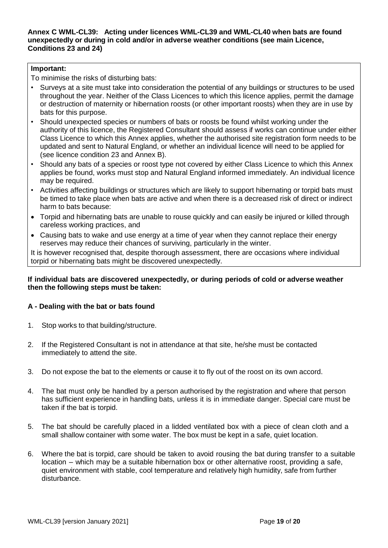**Annex C WML-CL39: Acting under licences WML-CL39 and WML-CL40 when bats are found unexpectedly or during in cold and/or in adverse weather conditions (see main Licence, Conditions 23 and 24)**

# **Important:**

To minimise the risks of disturbing bats:

- Surveys at a site must take into consideration the potential of any buildings or structures to be used throughout the year. Neither of the Class Licences to which this licence applies, permit the damage or destruction of maternity or hibernation roosts (or other important roosts) when they are in use by bats for this purpose.
- Should unexpected species or numbers of bats or roosts be found whilst working under the authority of this licence, the Registered Consultant should assess if works can continue under either Class Licence to which this Annex applies, whether the authorised site registration form needs to be updated and sent to Natural England, or whether an individual licence will need to be applied for (see licence condition 23 and Annex B).
- Should any bats of a species or roost type not covered by either Class Licence to which this Annex applies be found, works must stop and Natural England informed immediately. An individual licence may be required.
- Activities affecting buildings or structures which are likely to support hibernating or torpid bats must be timed to take place when bats are active and when there is a decreased risk of direct or indirect harm to bats because:
- Torpid and hibernating bats are unable to rouse quickly and can easily be injured or killed through careless working practices, and
- Causing bats to wake and use energy at a time of year when they cannot replace their energy reserves may reduce their chances of surviving, particularly in the winter.

It is however recognised that, despite thorough assessment, there are occasions where individual torpid or hibernating bats might be discovered unexpectedly.

# **If individual bats are discovered unexpectedly, or during periods of cold or adverse weather then the following steps must be taken:**

# **A - Dealing with the bat or bats found**

- 1. Stop works to that building/structure.
- 2. If the Registered Consultant is not in attendance at that site, he/she must be contacted immediately to attend the site.
- 3. Do not expose the bat to the elements or cause it to fly out of the roost on its own accord.
- 4. The bat must only be handled by a person authorised by the registration and where that person has sufficient experience in handling bats, unless it is in immediate danger. Special care must be taken if the bat is torpid.
- 5. The bat should be carefully placed in a lidded ventilated box with a piece of clean cloth and a small shallow container with some water. The box must be kept in a safe, quiet location.
- 6. Where the bat is torpid, care should be taken to avoid rousing the bat during transfer to a suitable location – which may be a suitable hibernation box or other alternative roost, providing a safe, quiet environment with stable, cool temperature and relatively high humidity, safe from further disturbance.